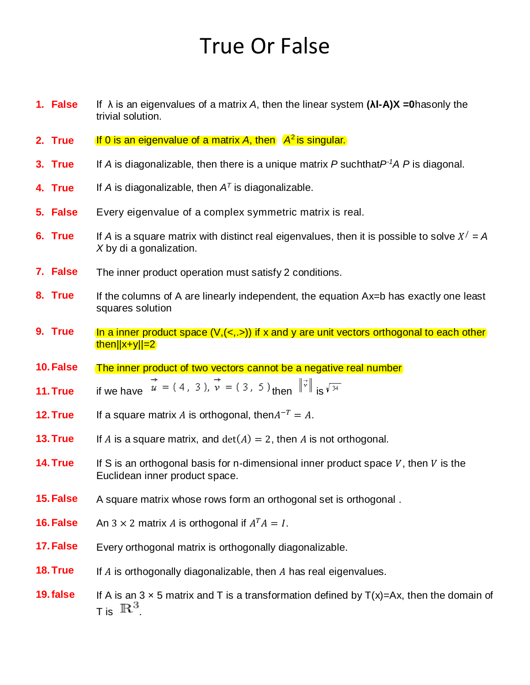## True Or False

| 1. False | If $\lambda$ is an eigenvalues of a matrix A, then the linear system ( $\lambda I - A$ )X =0 hasonly the |
|----------|----------------------------------------------------------------------------------------------------------|
|          | trivial solution.                                                                                        |

- **2. True** If 0 is an eigenvalue of a matrix A, then A<sup>2</sup> is singular.
- **3. True** If *A* is diagonalizable, then there is a unique matrix *P* suchthat*P-1A P* is diagonal.
- **4. True** If *A* is diagonalizable, then  $A<sup>T</sup>$  is diagonalizable.
- **5. False** Every eigenvalue of a complex symmetric matrix is real.
- **6. True** If A is a square matrix with distinct real eigenvalues, then it is possible to solve  $X' = A$ *X* by di a gonalization.
- **7. False** The inner product operation must satisfy 2 conditions.
- **8. True** If the columns of A are linearly independent, the equation Ax=b has exactly one least squares solution
- **9. True** In a inner product space  $(V, \langle \langle , \rangle)$  if x and y are unit vectors orthogonal to each other  $|then||x+y||=2$
- **10.False** The inner product of two vectors cannot be a negative real number
- **11.True** if we have  $\vec{u} = (4, 3)$ ,  $\vec{v} = (3, 5)$  then  $\|\vec{v}\|$  is  $\sqrt{34}$
- **12.True** If a square matrix A is orthogonal, then $A^{-T} = A$ .
- **13.True** If A is a square matrix, and  $det(A) = 2$ , then A is not orthogonal.
- **14.True** If S is an orthogonal basis for n-dimensional inner product space  $V$ , then  $V$  is the Euclidean inner product space.
- **15.False** A square matrix whose rows form an orthogonal set is orthogonal .
- **16.False** An 3  $\times$  2 matrix A is orthogonal if  $A^T A = I$ .
- **17.False** Every orthogonal matrix is orthogonally diagonalizable.
- **18.True** If  $\vec{A}$  is orthogonally diagonalizable, then  $\vec{A}$  has real eigenvalues.
- **19.false**  If A is an 3  $\times$  5 matrix and T is a transformation defined by  $T(x)=Ax$ , then the domain of T is  $\mathbb{R}^3$